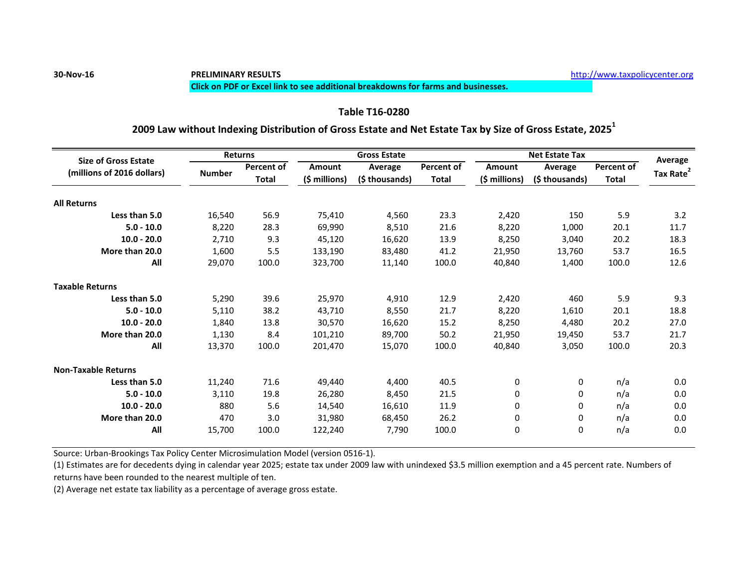### **Click on PDF or Excel link to see additional breakdowns for farms and businesses.**

# **Table T16-0280**

# **2009 Law without Indexing Distribution of Gross Estate and Net Estate Tax by Size of Gross Estate, 2025<sup>1</sup>**

| <b>Size of Gross Estate</b><br>(millions of 2016 dollars) | <b>Returns</b> |                                   |               | <b>Gross Estate</b>       |                            | <b>Net Estate Tax</b>          |                           |                                   | Average               |
|-----------------------------------------------------------|----------------|-----------------------------------|---------------|---------------------------|----------------------------|--------------------------------|---------------------------|-----------------------------------|-----------------------|
|                                                           |                | <b>Percent of</b><br><b>Total</b> | <b>Amount</b> | Average<br>(\$ thousands) | Percent of<br><b>Total</b> | <b>Amount</b><br>(\$ millions) | Average<br>(\$ thousands) | <b>Percent of</b><br><b>Total</b> | Tax Rate <sup>2</sup> |
|                                                           | <b>Number</b>  |                                   | (\$ millions) |                           |                            |                                |                           |                                   |                       |
| <b>All Returns</b>                                        |                |                                   |               |                           |                            |                                |                           |                                   |                       |
| Less than 5.0                                             | 16,540         | 56.9                              | 75,410        | 4,560                     | 23.3                       | 2,420                          | 150                       | 5.9                               | 3.2                   |
| $5.0 - 10.0$                                              | 8,220          | 28.3                              | 69,990        | 8,510                     | 21.6                       | 8,220                          | 1,000                     | 20.1                              | 11.7                  |
| $10.0 - 20.0$                                             | 2,710          | 9.3                               | 45,120        | 16,620                    | 13.9                       | 8,250                          | 3,040                     | 20.2                              | 18.3                  |
| More than 20.0                                            | 1,600          | 5.5                               | 133,190       | 83,480                    | 41.2                       | 21,950                         | 13,760                    | 53.7                              | 16.5                  |
| All                                                       | 29,070         | 100.0                             | 323,700       | 11,140                    | 100.0                      | 40,840                         | 1,400                     | 100.0                             | 12.6                  |
| <b>Taxable Returns</b>                                    |                |                                   |               |                           |                            |                                |                           |                                   |                       |
| Less than 5.0                                             | 5,290          | 39.6                              | 25,970        | 4,910                     | 12.9                       | 2,420                          | 460                       | 5.9                               | 9.3                   |
| $5.0 - 10.0$                                              | 5,110          | 38.2                              | 43,710        | 8,550                     | 21.7                       | 8,220                          | 1,610                     | 20.1                              | 18.8                  |
| $10.0 - 20.0$                                             | 1,840          | 13.8                              | 30,570        | 16,620                    | 15.2                       | 8,250                          | 4,480                     | 20.2                              | 27.0                  |
| More than 20.0                                            | 1,130          | 8.4                               | 101,210       | 89,700                    | 50.2                       | 21,950                         | 19,450                    | 53.7                              | 21.7                  |
| All                                                       | 13,370         | 100.0                             | 201,470       | 15,070                    | 100.0                      | 40,840                         | 3,050                     | 100.0                             | 20.3                  |
| <b>Non-Taxable Returns</b>                                |                |                                   |               |                           |                            |                                |                           |                                   |                       |
| Less than 5.0                                             | 11,240         | 71.6                              | 49,440        | 4,400                     | 40.5                       | 0                              | 0                         | n/a                               | 0.0                   |
| $5.0 - 10.0$                                              | 3,110          | 19.8                              | 26,280        | 8,450                     | 21.5                       | 0                              | 0                         | n/a                               | 0.0                   |
| $10.0 - 20.0$                                             | 880            | 5.6                               | 14,540        | 16,610                    | 11.9                       | 0                              | 0                         | n/a                               | 0.0                   |
| More than 20.0                                            | 470            | 3.0                               | 31,980        | 68,450                    | 26.2                       | 0                              | 0                         | n/a                               | 0.0                   |
| All                                                       | 15,700         | 100.0                             | 122,240       | 7,790                     | 100.0                      | 0                              | $\mathbf 0$               | n/a                               | 0.0                   |

Source: Urban-Brookings Tax Policy Center Microsimulation Model (version 0516-1).

(1) Estimates are for decedents dying in calendar year 2025; estate tax under 2009 law with unindexed \$3.5 million exemption and a 45 percent rate. Numbers of returns have been rounded to the nearest multiple of ten.

(2) Average net estate tax liability as a percentage of average gross estate.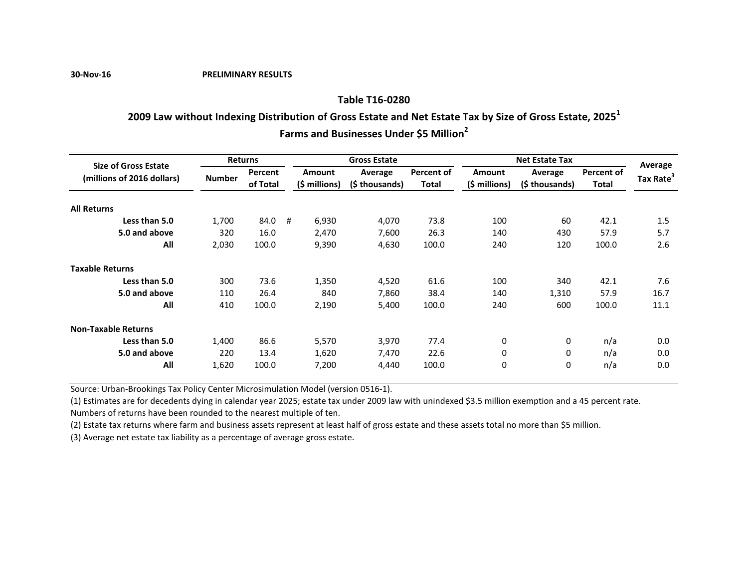**30-Nov-16 PRELIMINARY RESULTS**

## **Table T16-0280**

# **2009 Law without Indexing Distribution of Gross Estate and Net Estate Tax by Size of Gross Estate, 2025<sup>1</sup>**

**Farms and Businesses Under \$5 Million<sup>2</sup>**

| <b>Size of Gross Estate</b> | <b>Returns</b> |          |   |               | <b>Gross Estate</b> |            | <b>Net Estate Tax</b> |               |            | Average               |
|-----------------------------|----------------|----------|---|---------------|---------------------|------------|-----------------------|---------------|------------|-----------------------|
|                             |                | Percent  |   | <b>Amount</b> | Average             | Percent of | <b>Amount</b>         | Average       | Percent of |                       |
| (millions of 2016 dollars)  | <b>Number</b>  | of Total |   | (\$ millions) | (\$ thousands)      | Total      | (\$ millions)         | (\$thousands) | Total      | Tax Rate <sup>3</sup> |
| <b>All Returns</b>          |                |          |   |               |                     |            |                       |               |            |                       |
| Less than 5.0               | 1,700          | 84.0     | # | 6,930         | 4,070               | 73.8       | 100                   | 60            | 42.1       | 1.5                   |
| 5.0 and above               | 320            | 16.0     |   | 2,470         | 7,600               | 26.3       | 140                   | 430           | 57.9       | 5.7                   |
| All                         | 2,030          | 100.0    |   | 9,390         | 4,630               | 100.0      | 240                   | 120           | 100.0      | 2.6                   |
| <b>Taxable Returns</b>      |                |          |   |               |                     |            |                       |               |            |                       |
| Less than 5.0               | 300            | 73.6     |   | 1,350         | 4,520               | 61.6       | 100                   | 340           | 42.1       | 7.6                   |
| 5.0 and above               | 110            | 26.4     |   | 840           | 7,860               | 38.4       | 140                   | 1,310         | 57.9       | 16.7                  |
| All                         | 410            | 100.0    |   | 2,190         | 5,400               | 100.0      | 240                   | 600           | 100.0      | 11.1                  |
| <b>Non-Taxable Returns</b>  |                |          |   |               |                     |            |                       |               |            |                       |
| Less than 5.0               | 1,400          | 86.6     |   | 5,570         | 3,970               | 77.4       | $\mathbf 0$           | 0             | n/a        | 0.0                   |
| 5.0 and above               | 220            | 13.4     |   | 1,620         | 7,470               | 22.6       | 0                     | 0             | n/a        | 0.0                   |
| All                         | 1,620          | 100.0    |   | 7,200         | 4,440               | 100.0      | 0                     | 0             | n/a        | 0.0                   |

Source: Urban-Brookings Tax Policy Center Microsimulation Model (version 0516-1).

(1) Estimates are for decedents dying in calendar year 2025; estate tax under 2009 law with unindexed \$3.5 million exemption and a 45 percent rate. Numbers of returns have been rounded to the nearest multiple of ten.

(2) Estate tax returns where farm and business assets represent at least half of gross estate and these assets total no more than \$5 million.

(3) Average net estate tax liability as a percentage of average gross estate.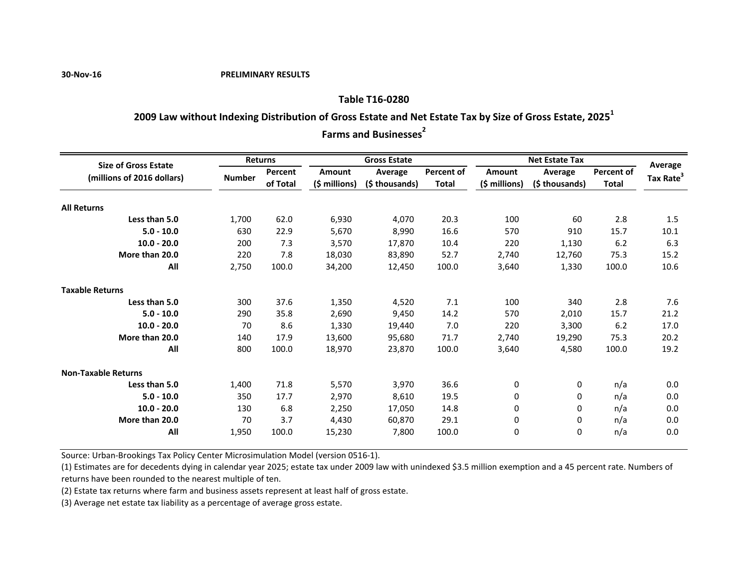#### **30-Nov-16 PRELIMINARY RESULTS**

# **Table T16-0280**

# **2009 Law without Indexing Distribution of Gross Estate and Net Estate Tax by Size of Gross Estate, 2025<sup>1</sup>**

**Farms and Businesses**<sup>2</sup>

| <b>Size of Gross Estate</b> | <b>Returns</b> |          | <b>Gross Estate</b> |                |                   | <b>Net Estate Tax</b> |                |                   | Average               |
|-----------------------------|----------------|----------|---------------------|----------------|-------------------|-----------------------|----------------|-------------------|-----------------------|
| (millions of 2016 dollars)  | <b>Number</b>  | Percent  | Amount              | Average        | <b>Percent of</b> | Amount                | Average        | <b>Percent of</b> | Tax Rate <sup>3</sup> |
|                             |                | of Total | $(\xi millions)$    | (\$ thousands) | <b>Total</b>      | $(5 millions)$        | (\$ thousands) | <b>Total</b>      |                       |
| <b>All Returns</b>          |                |          |                     |                |                   |                       |                |                   |                       |
| Less than 5.0               | 1.700          | 62.0     | 6,930               | 4,070          | 20.3              | 100                   | 60             | 2.8               | 1.5                   |
| $5.0 - 10.0$                | 630            | 22.9     | 5,670               | 8,990          | 16.6              | 570                   | 910            | 15.7              | 10.1                  |
| $10.0 - 20.0$               | 200            | 7.3      | 3,570               | 17,870         | 10.4              | 220                   | 1,130          | 6.2               | 6.3                   |
| More than 20.0              | 220            | 7.8      | 18,030              | 83,890         | 52.7              | 2,740                 | 12.760         | 75.3              | 15.2                  |
| All                         | 2,750          | 100.0    | 34,200              | 12,450         | 100.0             | 3,640                 | 1,330          | 100.0             | 10.6                  |
| <b>Taxable Returns</b>      |                |          |                     |                |                   |                       |                |                   |                       |
| Less than 5.0               | 300            | 37.6     | 1,350               | 4,520          | 7.1               | 100                   | 340            | 2.8               | 7.6                   |
| $5.0 - 10.0$                | 290            | 35.8     | 2,690               | 9,450          | 14.2              | 570                   | 2,010          | 15.7              | 21.2                  |
| $10.0 - 20.0$               | 70             | 8.6      | 1,330               | 19,440         | 7.0               | 220                   | 3,300          | 6.2               | 17.0                  |
| More than 20.0              | 140            | 17.9     | 13,600              | 95,680         | 71.7              | 2,740                 | 19,290         | 75.3              | 20.2                  |
| All                         | 800            | 100.0    | 18,970              | 23,870         | 100.0             | 3,640                 | 4,580          | 100.0             | 19.2                  |
| <b>Non-Taxable Returns</b>  |                |          |                     |                |                   |                       |                |                   |                       |
| Less than 5.0               | 1,400          | 71.8     | 5,570               | 3,970          | 36.6              | 0                     | 0              | n/a               | 0.0                   |
| $5.0 - 10.0$                | 350            | 17.7     | 2,970               | 8,610          | 19.5              | 0                     | 0              | n/a               | 0.0                   |
| $10.0 - 20.0$               | 130            | 6.8      | 2,250               | 17,050         | 14.8              | 0                     | 0              | n/a               | 0.0                   |
| More than 20.0              | 70             | 3.7      | 4,430               | 60,870         | 29.1              | 0                     | 0              | n/a               | 0.0                   |
| All                         | 1,950          | 100.0    | 15,230              | 7,800          | 100.0             | 0                     | $\Omega$       | n/a               | 0.0                   |

Source: Urban-Brookings Tax Policy Center Microsimulation Model (version 0516-1).

(1) Estimates are for decedents dying in calendar year 2025; estate tax under 2009 law with unindexed \$3.5 million exemption and a 45 percent rate. Numbers of returns have been rounded to the nearest multiple of ten.

(2) Estate tax returns where farm and business assets represent at least half of gross estate.

(3) Average net estate tax liability as a percentage of average gross estate.